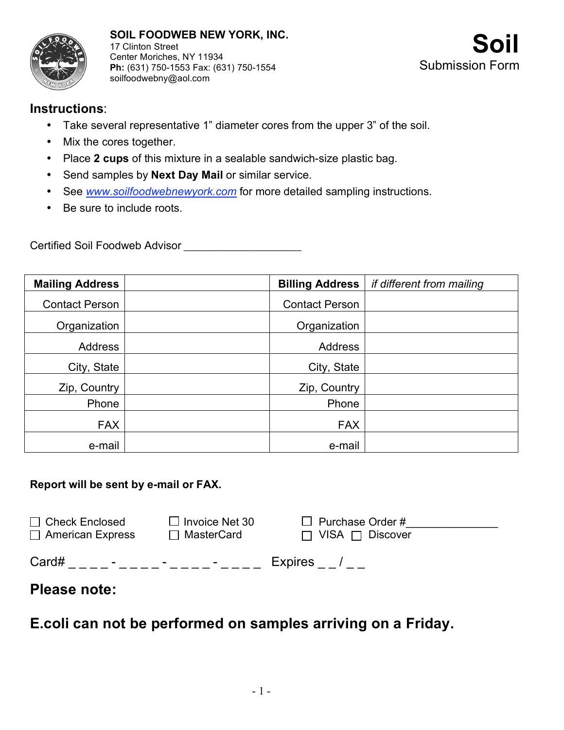

## **Instructions**:

- Take several representative 1" diameter cores from the upper 3" of the soil.
- Mix the cores together.
- Place **2 cups** of this mixture in a sealable sandwich-size plastic bag.
- Send samples by **Next Day Mail** or similar service.
- See *www.soilfoodwebnewyork.com* for more detailed sampling instructions.
- Be sure to include roots.

Certified Soil Foodweb Advisor \_\_\_\_\_\_\_\_\_\_\_\_\_\_\_\_\_\_\_\_\_\_\_

| <b>Mailing Address</b> | <b>Billing Address</b> | if different from mailing |
|------------------------|------------------------|---------------------------|
| <b>Contact Person</b>  | <b>Contact Person</b>  |                           |
| Organization           | Organization           |                           |
| <b>Address</b>         | Address                |                           |
| City, State            | City, State            |                           |
| Zip, Country           | Zip, Country           |                           |
| Phone                  | Phone                  |                           |
| <b>FAX</b>             | <b>FAX</b>             |                           |
| e-mail                 | e-mail                 |                           |

## **Report will be sent by e-mail or FAX.**

| $\Box$ Check Enclosed                       | $\Box$ Invoice Net 30 | $\Box$ Purchase Order #     |
|---------------------------------------------|-----------------------|-----------------------------|
| $\Box$ American Express                     | $\Box$ MasterCard     | $\Box$ VISA $\Box$ Discover |
| Card#<br>$\sim$<br>$\overline{\phantom{a}}$ | $\blacksquare$        | Expires /                   |

## **Please note:**

**E.coli can not be performed on samples arriving on a Friday.**